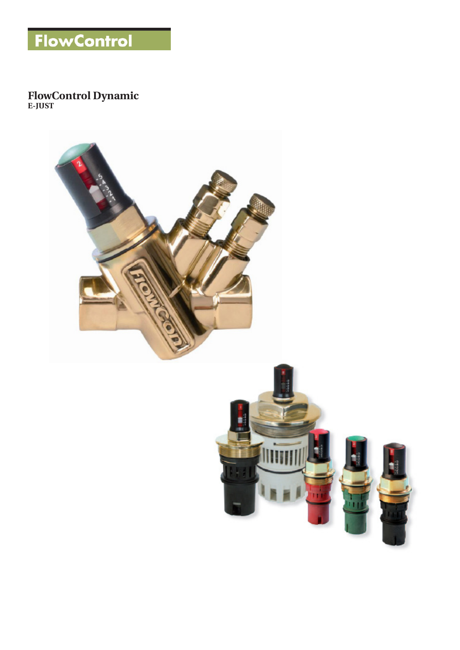

### **FlowControl Dynamic E-JUST**

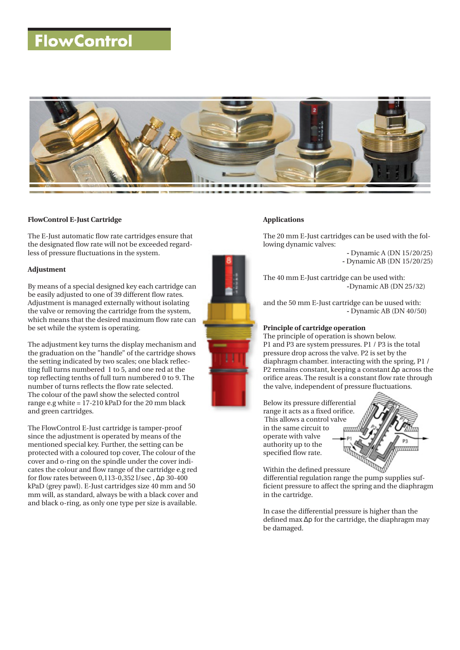## **FlowControl**



#### **FlowControl E-Just Cartridge**

The E-Just automatic flow rate cartridges ensure that the designated flow rate will not be exceeded regardless of pressure fluctuations in the system.

#### **Adjustment**

By means of a special designed key each cartridge can be easily adjusted to one of 39 different flow rates. Adjustment is managed externally without isolating the valve or removing the cartridge from the system, which means that the desired maximum flow rate can be set while the system is operating.

The adjustment key turns the display mechanism and the graduation on the "handle" of the cartridge shows the setting indicated by two scales; one black reflecting full turns numbered 1 to 5, and one red at the top reflecting tenths of full turn numbered 0 to 9. The number of turns reflects the flow rate selected. The colour of the pawl show the selected control range e.g white  $= 17-210$  kPaD for the 20 mm black and green cartridges.

The FlowControl E-Just cartridge is tamper-proof since the adjustment is operated by means of the mentioned special key. Further, the setting can be protected with a coloured top cover, The colour of the cover and o-ring on the spindle under the cover indicates the colour and flow range of the cartridge e.g red for flow rates between 0,113-0,352 l/sec , Δp 30-400 kPaD (grey pawl). E-Just cartridges size 40 mm and 50 mm will, as standard, always be with a black cover and and black o-ring, as only one type per size is available.



#### **Applications**

The 20 mm E-Just cartridges can be used with the following dynamic valves:

> **-** Dynamic A (DN 15/20/25)  **-** Dynamic AB (DN 15/20/25)

The 40 mm E-Just cartridge can be used with:  **-**Dynamic AB (DN 25/32)

and the 50 mm E-Just cartridge can be uused with:  **-** Dynamic AB (DN 40/50)

#### **Principle of cartridge operation**

The principle of operation is shown below. P1 and P3 are system pressures. P1 / P3 is the total pressure drop across the valve. P2 is set by the diaphragm chamber. interacting with the spring, P1 / P2 remains constant, keeping a constant Δp across the orifice areas. The result is a constant flow rate through the valve, independent of pressure fluctuations.

Below its pressure differential range it acts as a fixed orifice. This allows a control valve in the same circuit to operate with valve authority up to the specified flow rate.



Within the defined pressure differential regulation range the pump supplies suf-

ficient pressure to affect the spring and the diaphragm in the cartridge.

In case the differential pressure is higher than the defined max Δp for the cartridge, the diaphragm may be damaged.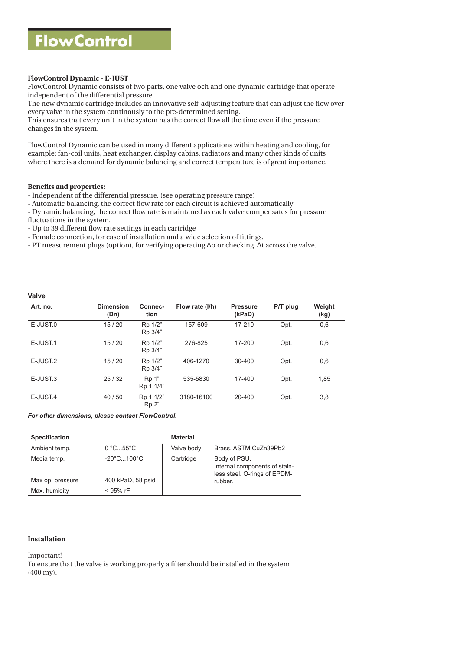#### **FlowControl Dynamic - E-JUST**

FlowControl Dynamic consists of two parts, one valve och and one dynamic cartridge that operate independent of the differential pressure.

The new dynamic cartridge includes an innovative self-adjusting feature that can adjust the flow over every valve in the system continously to the pre-determined setting.

This ensures that every unit in the system has the correct flow all the time even if the pressure changes in the system.

FlowControl Dynamic can be used in many different applications within heating and cooling, for example; fan-coil units, heat exchanger, display cabins, radiators and many other kinds of units where there is a demand for dynamic balancing and correct temperature is of great importance.

#### **Benefits and properties:**

- Independent of the differential pressure. (see operating pressure range)

- Automatic balancing, the correct flow rate for each circuit is achieved automatically
- Dynamic balancing, the correct flow rate is maintaned as each valve compensates for pressure
- fluctuations in the system.
- Up to 39 different flow rate settings in each cartridge
- Female connection, for ease of installation and a wide selection of fittings.
- PT measurement plugs (option), for verifying operating Δp or checking Δt across the valve.

#### **Valve**

| Art. no.             | <b>Dimension</b><br>(Dn) | Connec-<br>tion    | Flow rate (I/h) | <b>Pressure</b><br>(kPaD) | P/T plug | Weight<br>(kg) |
|----------------------|--------------------------|--------------------|-----------------|---------------------------|----------|----------------|
| E-JUST <sub>.0</sub> | 15/20                    | Rp 1/2"<br>Rp 3/4" | 157-609         | 17-210                    | Opt.     | 0,6            |
| E-JUST.1             | 15/20                    | Rp 1/2"<br>Rp 3/4" | 276-825         | 17-200                    | Opt.     | 0,6            |
| E-JUST <sub>2</sub>  | 15/20                    | Rp 1/2"<br>Rp 3/4" | 406-1270        | 30-400                    | Opt.     | 0,6            |
| E-JUST <sub>3</sub>  | 25/32                    | Rp 1"<br>Rp 1 1/4" | 535-5830        | 17-400                    | Opt.     | 1,85           |
| E-JUST.4             | 40/50                    | Rp 1 1/2"<br>Rp 2" | 3180-16100      | 20-400                    | Opt.     | 3,8            |

*For other dimensions, please contact FlowControl.*

| Specification    |                                 | <b>Material</b> |                                                                               |  |  |
|------------------|---------------------------------|-----------------|-------------------------------------------------------------------------------|--|--|
| Ambient temp.    | 0 °C55 °C                       | Valve body      | Brass, ASTM CuZn39Pb2                                                         |  |  |
| Media temp.      | $-20^{\circ}$ C100 $^{\circ}$ C | Cartridge       | Body of PSU.<br>Internal components of stain-<br>less steel. O-rings of EPDM- |  |  |
| Max op. pressure | 400 kPaD, 58 psid               |                 | rubber.                                                                       |  |  |
| Max. humidity    | $<$ 95% rF                      |                 |                                                                               |  |  |

#### **Installation**

Important!

To ensure that the valve is working properly a filter should be installed in the system (400 my).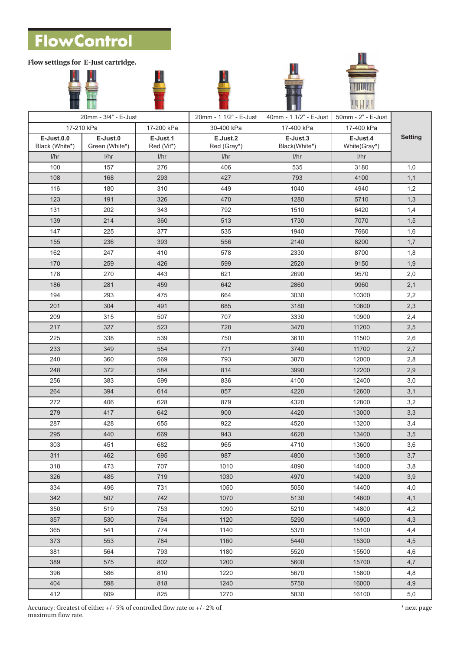**FlowControl** 

**Flow settings for E-Just cartridge.**

| 20mm - 3/4" - E-Just                |                            |                        | 20mm - 1 1/2" - E-Just   | 40mm - 1 1/2" - E-Just    | 50mm - 2" - E-Just       |                |
|-------------------------------------|----------------------------|------------------------|--------------------------|---------------------------|--------------------------|----------------|
|                                     | 17-210 kPa                 | 17-200 kPa             | 30-400 kPa<br>17-400 kPa |                           | 17-400 kPa               |                |
| <b>E-Just.0.0</b><br>Black (White*) | E-Just.0<br>Green (White*) | E-Just.1<br>Red (Vit*) | E.Just.2<br>Red (Gray*)  | E-Just.3<br>Black(White*) | E-Just.4<br>White(Gray*) | <b>Setting</b> |
| I/hr                                | 1/hr                       | 1/hr                   | 1/hr                     | 1/hr                      | 1/hr                     |                |
| 100                                 | 157                        | 276                    | 406                      | 535                       | 3180                     | 1,0            |
| 108                                 | 168                        | 293                    | 427                      | 793                       | 4100                     | 1,1            |
| 116                                 | 180                        | 310                    | 449                      | 1040                      | 4940                     | 1,2            |
| 123                                 | 191                        | 326                    | 470                      | 1280                      | 5710                     | 1,3            |
| 131                                 | 202                        | 343                    | 792                      | 1510                      | 6420                     | 1,4            |
| 139                                 | 214                        | 360                    | 513                      | 1730                      | 7070                     | 1,5            |
| 147                                 | 225                        | 377                    | 535                      | 1940                      | 7660                     | 1,6            |
| 155                                 | 236                        | 393                    | 556                      | 2140                      | 8200                     | 1,7            |
| 162                                 | 247                        | 410                    | 578                      | 2330                      | 8700                     | 1,8            |
| 170                                 | 259                        | 426                    | 599                      | 2520                      | 9150                     | 1,9            |
| 178                                 | 270                        | 443                    | 621                      | 2690                      | 9570                     | 2,0            |
| 186                                 | 281                        | 459                    | 642                      | 2860                      | 9960                     | 2,1            |
| 194                                 | 293                        | 475                    | 664                      | 3030                      | 10300                    | 2,2            |
| 201                                 | 304                        | 491                    | 685                      | 3180                      | 10600                    | 2,3            |
| 209                                 | 315                        | 507                    | 707                      | 3330                      | 10900                    | 2,4            |
| 217                                 | 327                        | 523                    | 728                      | 3470                      | 11200                    | 2,5            |
| 225                                 | 338                        | 539                    | 750                      | 3610                      | 11500                    | 2,6            |
| 233                                 | 349                        | 554                    | 771                      | 3740                      | 11700                    | 2,7            |
| 240                                 | 360                        | 569                    | 793                      | 3870                      | 12000                    | 2,8            |
| 248                                 | 372                        | 584                    | 814                      | 3990                      | 12200                    | 2,9            |
| 256                                 | 383                        | 599                    | 836                      | 4100                      | 12400                    | 3,0            |
| 264                                 | 394                        | 614                    | 857                      | 4220                      | 12600                    | 3,1            |
| 272                                 | 406                        | 628                    | 879                      | 4320                      | 12800                    | 3,2            |
| 279                                 | 417                        | 642                    | 900                      | 4420                      | 13000                    | 3,3            |
| 287                                 | 428                        | 655                    | 922                      | 4520                      | 13200                    | 3,4            |
| 295                                 | 440                        | 669                    | 943                      | 4620                      | 13400                    | 3,5            |
| 303                                 | 451                        | 682                    | 965                      | 4710                      | 13600                    | 3,6            |
| 311                                 | 462                        | 695                    | 987                      | 4800                      | 13800                    | 3,7            |
| 318                                 | 473                        | 707                    | 1010                     | 4890                      | 14000                    | 3,8            |
| 326                                 | 485                        | 719                    | 1030                     | 4970                      | 14200                    | 3,9            |
| 334                                 | 496                        | 731                    | 1050                     | 5050                      | 14400                    | 4,0            |
| 342                                 | 507                        | 742                    | 1070                     | 5130                      | 14600                    | 4,1            |
| 350                                 | 519                        | 753                    | 1090                     | 5210                      | 14800                    | 4,2            |
| 357                                 | 530                        | 764                    | 1120                     | 5290                      | 14900                    | 4,3            |
| 365                                 | 541                        | 774                    | 1140                     | 5370                      | 15100                    | 4,4            |
| 373                                 | 553                        | 784                    | 1160                     | 5440                      | 15300                    | 4,5            |
| 381                                 | 564                        | 793                    | 1180                     | 5520                      | 15500                    | 4,6            |
| 389                                 | 575                        | 802                    | 1200                     | 5600                      | 15700                    | 4,7            |
| 396                                 | 586                        | 810                    | 1220                     | 5670                      | 15800                    | 4,8            |
| 404                                 | 598                        | 818                    | 1240                     | 5750                      | 16000                    | 4,9            |
| 412                                 | 609                        | 825                    | 1270                     | 5830                      | 16100                    | 5,0            |